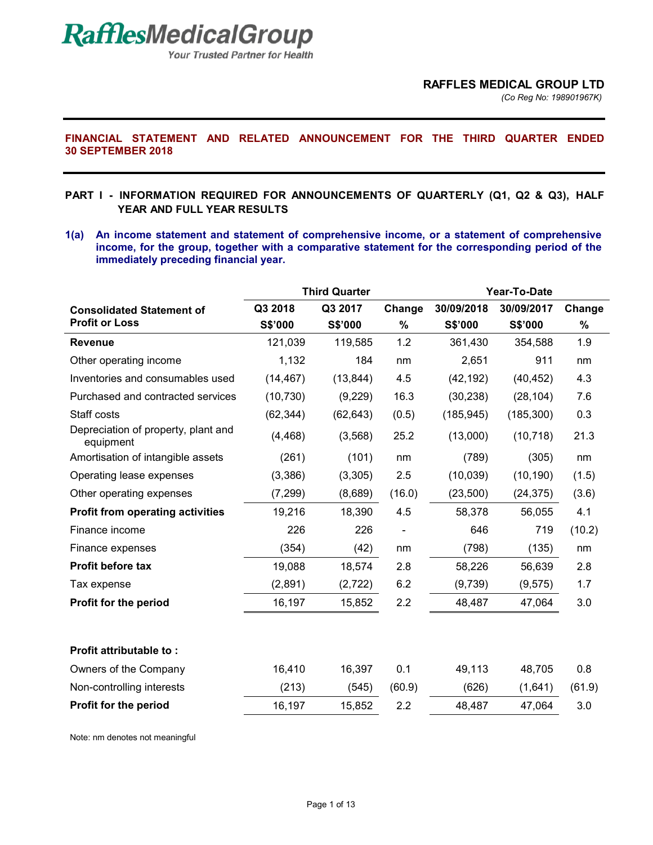**Your Trusted Partner for Health** 

*(Co Reg No: 198901967K)*

### **FINANCIAL STATEMENT AND RELATED ANNOUNCEMENT FOR THE THIRD QUARTER ENDED 30 SEPTEMBER 2018**

### **PART I - INFORMATION REQUIRED FOR ANNOUNCEMENTS OF QUARTERLY (Q1, Q2 & Q3), HALF YEAR AND FULL YEAR RESULTS**

**1(a) An income statement and statement of comprehensive income, or a statement of comprehensive income, for the group, together with a comparative statement for the corresponding period of the immediately preceding financial year.** 

|                                                  |           | <b>Third Quarter</b> |                          | Year-To-Date |            |        |
|--------------------------------------------------|-----------|----------------------|--------------------------|--------------|------------|--------|
| <b>Consolidated Statement of</b>                 | Q3 2018   | Q3 2017              | Change                   | 30/09/2018   | 30/09/2017 | Change |
| <b>Profit or Loss</b>                            | S\$'000   | S\$'000              | %                        | S\$'000      | S\$'000    | $\%$   |
| <b>Revenue</b>                                   | 121,039   | 119,585              | 1.2                      | 361,430      | 354,588    | 1.9    |
| Other operating income                           | 1,132     | 184                  | nm                       | 2,651        | 911        | nm     |
| Inventories and consumables used                 | (14, 467) | (13, 844)            | 4.5                      | (42, 192)    | (40, 452)  | 4.3    |
| Purchased and contracted services                | (10, 730) | (9,229)              | 16.3                     | (30, 238)    | (28, 104)  | 7.6    |
| Staff costs                                      | (62, 344) | (62, 643)            | (0.5)                    | (185, 945)   | (185, 300) | 0.3    |
| Depreciation of property, plant and<br>equipment | (4, 468)  | (3, 568)             | 25.2                     | (13,000)     | (10, 718)  | 21.3   |
| Amortisation of intangible assets                | (261)     | (101)                | nm                       | (789)        | (305)      | nm     |
| Operating lease expenses                         | (3,386)   | (3,305)              | 2.5                      | (10, 039)    | (10, 190)  | (1.5)  |
| Other operating expenses                         | (7, 299)  | (8,689)              | (16.0)                   | (23, 500)    | (24, 375)  | (3.6)  |
| <b>Profit from operating activities</b>          | 19,216    | 18,390               | 4.5                      | 58,378       | 56,055     | 4.1    |
| Finance income                                   | 226       | 226                  | $\overline{\phantom{a}}$ | 646          | 719        | (10.2) |
| Finance expenses                                 | (354)     | (42)                 | nm                       | (798)        | (135)      | nm     |
| <b>Profit before tax</b>                         | 19,088    | 18,574               | 2.8                      | 58,226       | 56,639     | 2.8    |
| Tax expense                                      | (2,891)   | (2,722)              | 6.2                      | (9,739)      | (9, 575)   | 1.7    |
| Profit for the period                            | 16,197    | 15,852               | 2.2                      | 48,487       | 47,064     | 3.0    |
|                                                  |           |                      |                          |              |            |        |
| Profit attributable to:                          |           |                      |                          |              |            |        |
| Owners of the Company                            | 16,410    | 16,397               | 0.1                      | 49,113       | 48,705     | 0.8    |
| Non-controlling interests                        | (213)     | (545)                | (60.9)                   | (626)        | (1,641)    | (61.9) |
| Profit for the period                            | 16,197    | 15,852               | 2.2                      | 48,487       | 47,064     | 3.0    |

Note: nm denotes not meaningful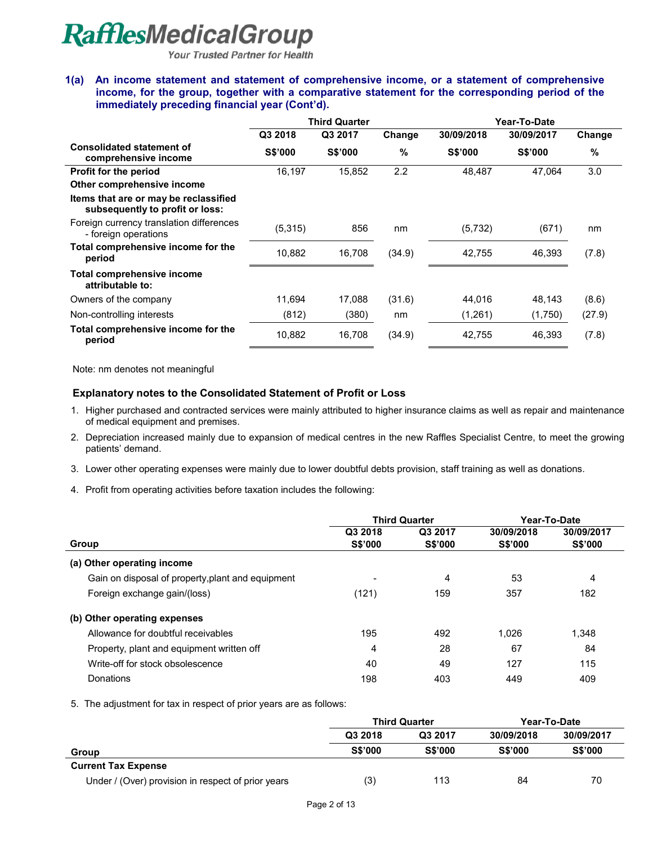**Your Trusted Partner for Health** 

#### **1(a) An income statement and statement of comprehensive income, or a statement of comprehensive income, for the group, together with a comparative statement for the corresponding period of the immediately preceding financial year (Cont'd).**

|                                                                          | <b>Third Quarter</b> |                |        | Year-To-Date   |                |        |
|--------------------------------------------------------------------------|----------------------|----------------|--------|----------------|----------------|--------|
|                                                                          | Q3 2018              | Q3 2017        | Change | 30/09/2018     | 30/09/2017     | Change |
| <b>Consolidated statement of</b><br>comprehensive income                 | <b>S\$'000</b>       | <b>S\$'000</b> | $\%$   | <b>S\$'000</b> | <b>S\$'000</b> | $\%$   |
| <b>Profit for the period</b>                                             | 16,197               | 15,852         | 2.2    | 48.487         | 47.064         | 3.0    |
| Other comprehensive income                                               |                      |                |        |                |                |        |
| Items that are or may be reclassified<br>subsequently to profit or loss: |                      |                |        |                |                |        |
| Foreign currency translation differences<br>- foreign operations         | (5,315)              | 856            | nm     | (5,732)        | (671)          | nm     |
| Total comprehensive income for the<br>period                             | 10,882               | 16,708         | (34.9) | 42,755         | 46,393         | (7.8)  |
| Total comprehensive income<br>attributable to:                           |                      |                |        |                |                |        |
| Owners of the company                                                    | 11,694               | 17,088         | (31.6) | 44,016         | 48,143         | (8.6)  |
| Non-controlling interests                                                | (812)                | (380)          | nm     | (1,261)        | (1,750)        | (27.9) |
| Total comprehensive income for the<br>period                             | 10,882               | 16,708         | (34.9) | 42,755         | 46,393         | (7.8)  |

Note: nm denotes not meaningful

### **Explanatory notes to the Consolidated Statement of Profit or Loss**

1. Higher purchased and contracted services were mainly attributed to higher insurance claims as well as repair and maintenance of medical equipment and premises.

2. Depreciation increased mainly due to expansion of medical centres in the new Raffles Specialist Centre, to meet the growing patients' demand.

- 3. Lower other operating expenses were mainly due to lower doubtful debts provision, staff training as well as donations.
- 4. Profit from operating activities before taxation includes the following:

|                                                   | <b>Third Quarter</b> |                | Year-To-Date   |                |
|---------------------------------------------------|----------------------|----------------|----------------|----------------|
|                                                   | Q3 2018              | Q3 2017        | 30/09/2018     | 30/09/2017     |
| Group                                             | <b>S\$'000</b>       | <b>S\$'000</b> | <b>S\$'000</b> | <b>S\$'000</b> |
| (a) Other operating income                        |                      |                |                |                |
| Gain on disposal of property, plant and equipment |                      | 4              | 53             | 4              |
| Foreign exchange gain/(loss)                      | (121)                | 159            | 357            | 182            |
| (b) Other operating expenses                      |                      |                |                |                |
| Allowance for doubtful receivables                | 195                  | 492            | 1.026          | 1,348          |
| Property, plant and equipment written off         | 4                    | 28             | 67             | 84             |
| Write-off for stock obsolescence                  | 40                   | 49             | 127            | 115            |
| Donations                                         | 198                  | 403            | 449            | 409            |

5. The adjustment for tax in respect of prior years are as follows:

|                                                    | <b>Third Quarter</b> |         | Year-To-Date   |                |
|----------------------------------------------------|----------------------|---------|----------------|----------------|
|                                                    | Q3 2018              | Q3 2017 | 30/09/2018     | 30/09/2017     |
| Group                                              | <b>S\$'000</b>       | S\$'000 | <b>S\$'000</b> | <b>S\$'000</b> |
| <b>Current Tax Expense</b>                         |                      |         |                |                |
| Under / (Over) provision in respect of prior years | (3)                  | 113     | 84             | 70             |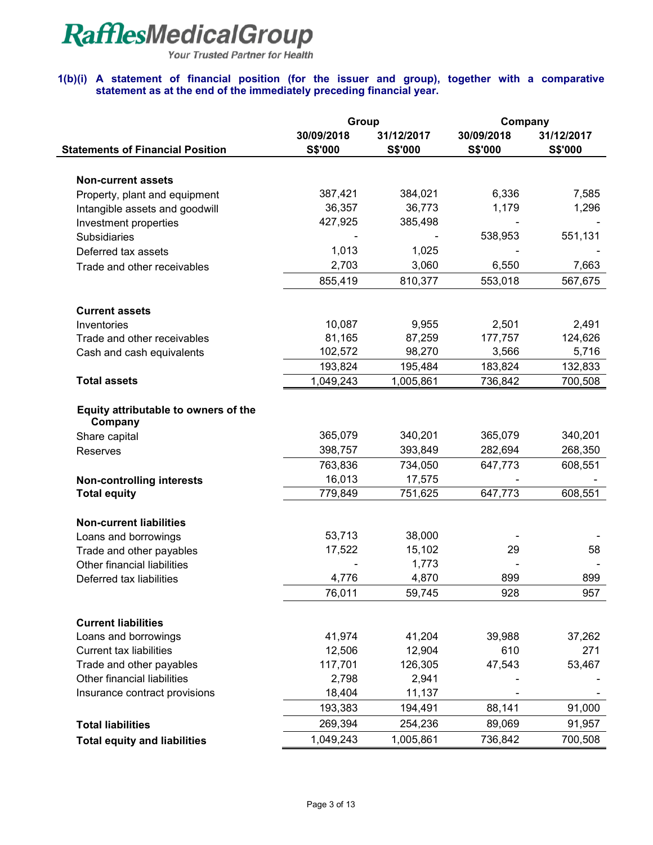Your Trusted Partner for Health

### **1(b)(i) A statement of financial position (for the issuer and group), together with a comparative statement as at the end of the immediately preceding financial year.**

|                                                 | Group<br>Company      |                              |                              |                       |  |
|-------------------------------------------------|-----------------------|------------------------------|------------------------------|-----------------------|--|
| <b>Statements of Financial Position</b>         | 30/09/2018<br>S\$'000 | 31/12/2017<br><b>S\$'000</b> | 30/09/2018<br><b>S\$'000</b> | 31/12/2017<br>S\$'000 |  |
|                                                 |                       |                              |                              |                       |  |
| <b>Non-current assets</b>                       |                       |                              |                              |                       |  |
| Property, plant and equipment                   | 387,421               | 384,021                      | 6,336                        | 7,585                 |  |
| Intangible assets and goodwill                  | 36,357                | 36,773                       | 1,179                        | 1,296                 |  |
| Investment properties                           | 427,925               | 385,498                      |                              |                       |  |
| Subsidiaries                                    |                       |                              | 538,953                      | 551,131               |  |
| Deferred tax assets                             | 1,013                 | 1,025                        |                              |                       |  |
| Trade and other receivables                     | 2,703                 | 3,060                        | 6,550                        | 7,663                 |  |
|                                                 | 855,419               | 810,377                      | 553,018                      | 567,675               |  |
| <b>Current assets</b>                           |                       |                              |                              |                       |  |
| Inventories                                     | 10,087                | 9,955                        | 2,501                        | 2,491                 |  |
| Trade and other receivables                     | 81,165                | 87,259                       | 177,757                      | 124,626               |  |
| Cash and cash equivalents                       | 102,572               | 98,270                       | 3,566                        | 5,716                 |  |
|                                                 | 193,824               | 195,484                      | 183,824                      | 132,833               |  |
| <b>Total assets</b>                             | 1,049,243             | 1,005,861                    | 736,842                      | 700,508               |  |
| Equity attributable to owners of the<br>Company |                       |                              |                              |                       |  |
| Share capital                                   | 365,079               | 340,201                      | 365,079                      | 340,201               |  |
| Reserves                                        | 398,757               | 393,849                      | 282,694                      | 268,350               |  |
|                                                 | 763,836               | 734,050                      | 647,773                      | 608,551               |  |
| <b>Non-controlling interests</b>                | 16,013                | 17,575                       |                              |                       |  |
| <b>Total equity</b>                             | 779,849               | 751,625                      | 647,773                      | 608,551               |  |
| <b>Non-current liabilities</b>                  |                       |                              |                              |                       |  |
| Loans and borrowings                            | 53,713                | 38,000                       |                              |                       |  |
| Trade and other payables                        | 17,522                | 15,102                       | 29                           | 58                    |  |
| Other financial liabilities                     |                       | 1,773                        |                              |                       |  |
| Deferred tax liabilities                        | 4,776                 | 4,870                        | 899                          | 899                   |  |
|                                                 | 76,011                | 59,745                       | 928                          | 957                   |  |
| <b>Current liabilities</b>                      |                       |                              |                              |                       |  |
| Loans and borrowings                            | 41,974                | 41,204                       | 39,988                       | 37,262                |  |
| <b>Current tax liabilities</b>                  | 12,506                | 12,904                       | 610                          | 271                   |  |
| Trade and other payables                        | 117,701               | 126,305                      | 47,543                       | 53,467                |  |
| Other financial liabilities                     | 2,798                 | 2,941                        |                              |                       |  |
| Insurance contract provisions                   | 18,404                | 11,137                       |                              |                       |  |
|                                                 | 193,383               | 194,491                      | 88,141                       | 91,000                |  |
| <b>Total liabilities</b>                        | 269,394               | 254,236                      | 89,069                       | 91,957                |  |
| <b>Total equity and liabilities</b>             | 1,049,243             | 1,005,861                    | 736,842                      | 700,508               |  |
|                                                 |                       |                              |                              |                       |  |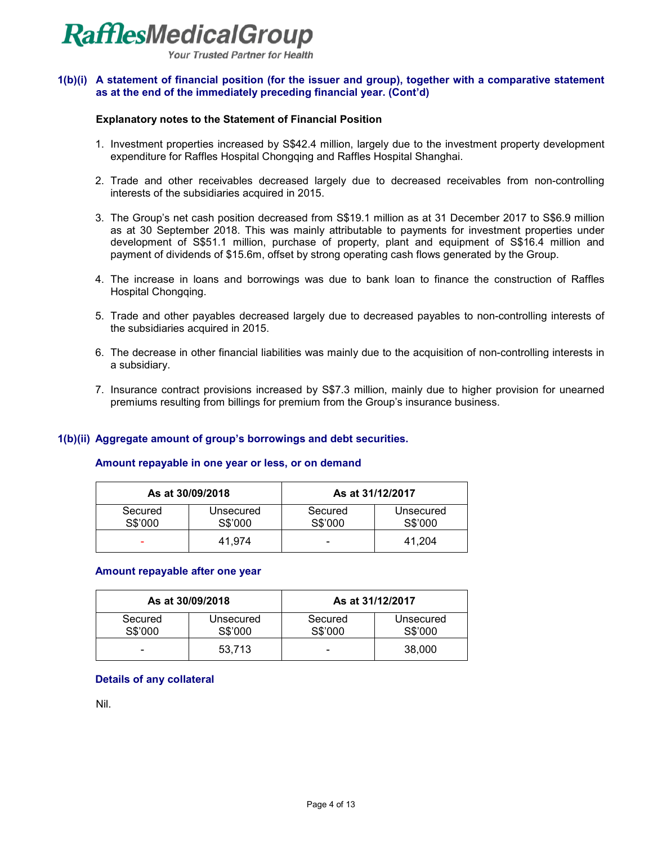

**Your Trusted Partner for Health** 

### **1(b)(i) A statement of financial position (for the issuer and group), together with a comparative statement as at the end of the immediately preceding financial year. (Cont'd)**

#### **Explanatory notes to the Statement of Financial Position**

- 1. Investment properties increased by S\$42.4 million, largely due to the investment property development expenditure for Raffles Hospital Chongqing and Raffles Hospital Shanghai.
- 2. Trade and other receivables decreased largely due to decreased receivables from non-controlling interests of the subsidiaries acquired in 2015.
- 3. The Group's net cash position decreased from S\$19.1 million as at 31 December 2017 to S\$6.9 million as at 30 September 2018. This was mainly attributable to payments for investment properties under development of S\$51.1 million, purchase of property, plant and equipment of S\$16.4 million and payment of dividends of \$15.6m, offset by strong operating cash flows generated by the Group.
- 4. The increase in loans and borrowings was due to bank loan to finance the construction of Raffles Hospital Chongqing.
- 5. Trade and other payables decreased largely due to decreased payables to non-controlling interests of the subsidiaries acquired in 2015.
- 6. The decrease in other financial liabilities was mainly due to the acquisition of non-controlling interests in a subsidiary.
- 7. Insurance contract provisions increased by S\$7.3 million, mainly due to higher provision for unearned premiums resulting from billings for premium from the Group's insurance business.

#### **1(b)(ii) Aggregate amount of group's borrowings and debt securities.**

#### **Amount repayable in one year or less, or on demand**

|                    | As at 30/09/2018     |                    | As at 31/12/2017     |
|--------------------|----------------------|--------------------|----------------------|
| Secured<br>S\$'000 | Unsecured<br>S\$'000 | Secured<br>S\$'000 | Unsecured<br>S\$'000 |
| -                  | 41.974               | -                  | 41.204               |

#### **Amount repayable after one year**

| As at 30/09/2018<br>As at 31/12/2017 |                      |                    |                      |
|--------------------------------------|----------------------|--------------------|----------------------|
| Secured<br>S\$'000                   | Unsecured<br>S\$'000 | Secured<br>S\$'000 | Unsecured<br>S\$'000 |
| -                                    | 53.713               | -                  | 38,000               |

#### **Details of any collateral**

Nil.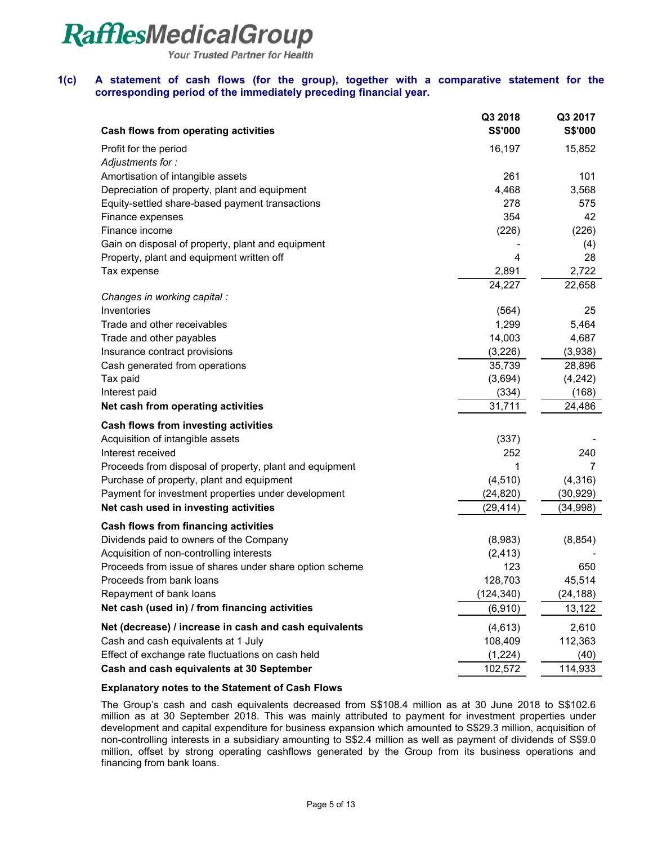**Your Trusted Partner for Health** 

#### **1(c) A statement of cash flows (for the group), together with a comparative statement for the corresponding period of the immediately preceding financial year.**

| <b>Cash flows from operating activities</b>             | Q3 2018<br>S\$'000 | Q3 2017<br>S\$'000 |
|---------------------------------------------------------|--------------------|--------------------|
|                                                         |                    |                    |
| Profit for the period<br>Adjustments for:               | 16,197             | 15,852             |
| Amortisation of intangible assets                       | 261                | 101                |
| Depreciation of property, plant and equipment           | 4,468              | 3,568              |
| Equity-settled share-based payment transactions         | 278                | 575                |
| Finance expenses                                        | 354                | 42                 |
| Finance income                                          | (226)              | (226)              |
| Gain on disposal of property, plant and equipment       |                    | (4)                |
| Property, plant and equipment written off               | 4                  | 28                 |
| Tax expense                                             | 2,891              | 2,722              |
|                                                         | 24,227             | 22,658             |
| Changes in working capital :                            |                    |                    |
| Inventories                                             | (564)              | 25                 |
| Trade and other receivables                             | 1,299              | 5,464              |
| Trade and other payables                                | 14,003             | 4,687              |
| Insurance contract provisions                           | (3,226)            | (3,938)            |
| Cash generated from operations                          | 35,739             | 28,896             |
| Tax paid                                                | (3,694)            | (4, 242)           |
| Interest paid                                           | (334)              | (168)              |
| Net cash from operating activities                      | 31,711             | 24,486             |
| Cash flows from investing activities                    |                    |                    |
| Acquisition of intangible assets                        | (337)              |                    |
| Interest received                                       | 252                | 240                |
| Proceeds from disposal of property, plant and equipment | 1                  | 7                  |
| Purchase of property, plant and equipment               | (4, 510)           | (4,316)            |
| Payment for investment properties under development     | (24, 820)          | (30, 929)          |
| Net cash used in investing activities                   | (29, 414)          | (34, 998)          |
| <b>Cash flows from financing activities</b>             |                    |                    |
| Dividends paid to owners of the Company                 | (8,983)            | (8, 854)           |
| Acquisition of non-controlling interests                | (2, 413)           |                    |
| Proceeds from issue of shares under share option scheme | 123                | 650                |
| Proceeds from bank loans                                | 128,703            | 45,514             |
| Repayment of bank loans                                 | (124, 340)         | (24, 188)          |
| Net cash (used in) / from financing activities          | (6, 910)           | 13,122             |
| Net (decrease) / increase in cash and cash equivalents  | (4,613)            | 2,610              |
| Cash and cash equivalents at 1 July                     | 108,409            | 112,363            |
| Effect of exchange rate fluctuations on cash held       | (1,224)            | (40)               |
| Cash and cash equivalents at 30 September               | 102,572            | 114,933            |

#### **Explanatory notes to the Statement of Cash Flows**

The Group's cash and cash equivalents decreased from S\$108.4 million as at 30 June 2018 to S\$102.6 million as at 30 September 2018. This was mainly attributed to payment for investment properties under development and capital expenditure for business expansion which amounted to S\$29.3 million, acquisition of non-controlling interests in a subsidiary amounting to S\$2.4 million as well as payment of dividends of S\$9.0 million, offset by strong operating cashflows generated by the Group from its business operations and financing from bank loans.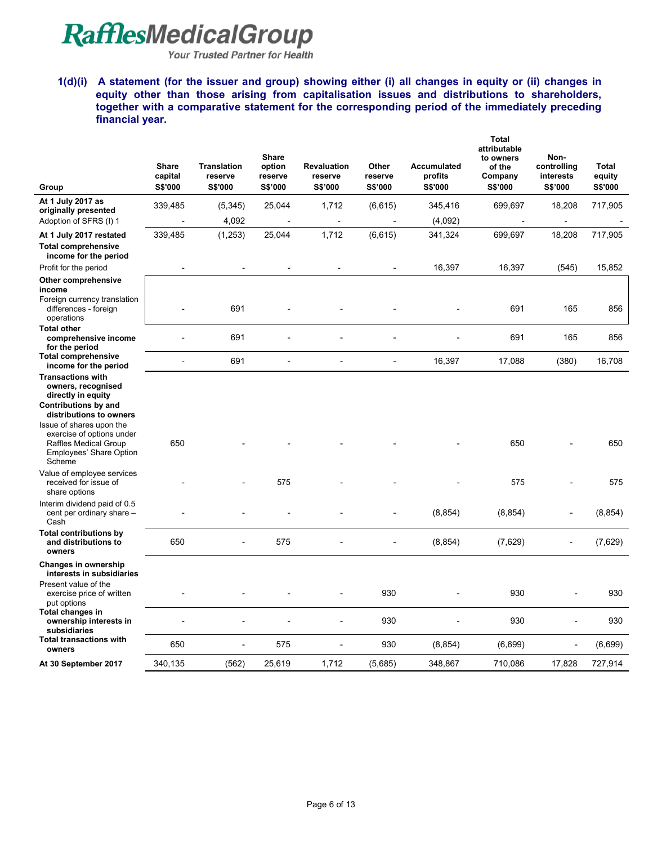Your Trusted Partner for Health

**1(d)(i) A statement (for the issuer and group) showing either (i) all changes in equity or (ii) changes in equity other than those arising from capitalisation issues and distributions to shareholders, together with a comparative statement for the corresponding period of the immediately preceding financial year.** 

| Group                                                                                                                                          | <b>Share</b><br>capital<br>S\$'000 | <b>Translation</b><br>reserve<br>S\$'000 | <b>Share</b><br>option<br>reserve<br>S\$'000 | <b>Revaluation</b><br>reserve<br>S\$'000 | Other<br>reserve<br>S\$'000 | <b>Accumulated</b><br>profits<br>S\$'000 | <b>Total</b><br>attributable<br>to owners<br>of the<br>Company<br>S\$'000 | Non-<br>controlling<br>interests<br>S\$'000 | Total<br>equity<br>S\$'000 |
|------------------------------------------------------------------------------------------------------------------------------------------------|------------------------------------|------------------------------------------|----------------------------------------------|------------------------------------------|-----------------------------|------------------------------------------|---------------------------------------------------------------------------|---------------------------------------------|----------------------------|
| At 1 July 2017 as                                                                                                                              | 339,485                            | (5, 345)                                 | 25,044                                       | 1,712                                    | (6, 615)                    | 345,416                                  | 699,697                                                                   | 18,208                                      | 717,905                    |
| originally presented<br>Adoption of SFRS (I) 1                                                                                                 |                                    | 4,092                                    |                                              |                                          |                             | (4,092)                                  |                                                                           | $\overline{\phantom{a}}$                    |                            |
| At 1 July 2017 restated                                                                                                                        | 339,485                            | (1,253)                                  | 25,044                                       | 1,712                                    | (6, 615)                    | 341,324                                  | 699,697                                                                   | 18,208                                      | 717,905                    |
| <b>Total comprehensive</b><br>income for the period                                                                                            |                                    |                                          |                                              |                                          |                             |                                          |                                                                           |                                             |                            |
| Profit for the period                                                                                                                          |                                    |                                          |                                              |                                          | ä,                          | 16,397                                   | 16,397                                                                    | (545)                                       | 15,852                     |
| Other comprehensive<br>income<br>Foreign currency translation<br>differences - foreign<br>operations                                           |                                    | 691                                      |                                              |                                          |                             |                                          | 691                                                                       | 165                                         | 856                        |
| <b>Total other</b><br>comprehensive income<br>for the period                                                                                   |                                    | 691                                      |                                              |                                          |                             |                                          | 691                                                                       | 165                                         | 856                        |
| <b>Total comprehensive</b><br>income for the period                                                                                            | L.                                 | 691                                      | $\overline{a}$                               | $\overline{a}$                           | ÷,                          | 16,397                                   | 17,088                                                                    | (380)                                       | 16,708                     |
| <b>Transactions with</b><br>owners, recognised<br>directly in equity<br>Contributions by and                                                   |                                    |                                          |                                              |                                          |                             |                                          |                                                                           |                                             |                            |
| distributions to owners<br>Issue of shares upon the<br>exercise of options under<br>Raffles Medical Group<br>Employees' Share Option<br>Scheme | 650                                |                                          |                                              |                                          |                             |                                          | 650                                                                       |                                             | 650                        |
| Value of employee services<br>received for issue of<br>share options                                                                           |                                    |                                          | 575                                          |                                          |                             |                                          | 575                                                                       |                                             | 575                        |
| Interim dividend paid of 0.5<br>cent per ordinary share -<br>Cash                                                                              |                                    |                                          |                                              |                                          |                             | (8, 854)                                 | (8, 854)                                                                  |                                             | (8, 854)                   |
| <b>Total contributions by</b><br>and distributions to<br>owners                                                                                | 650                                |                                          | 575                                          |                                          |                             | (8, 854)                                 | (7,629)                                                                   |                                             | (7,629)                    |
| <b>Changes in ownership</b><br>interests in subsidiaries                                                                                       |                                    |                                          |                                              |                                          |                             |                                          |                                                                           |                                             |                            |
| Present value of the<br>exercise price of written<br>put options                                                                               |                                    |                                          |                                              |                                          | 930                         |                                          | 930                                                                       |                                             | 930                        |
| Total changes in<br>ownership interests in<br>subsidiaries                                                                                     |                                    |                                          |                                              |                                          | 930                         |                                          | 930                                                                       |                                             | 930                        |
| <b>Total transactions with</b><br>owners                                                                                                       | 650                                |                                          | 575                                          |                                          | 930                         | (8, 854)                                 | (6,699)                                                                   | $\overline{a}$                              | (6,699)                    |
| At 30 September 2017                                                                                                                           | 340,135                            | (562)                                    | 25,619                                       | 1,712                                    | (5,685)                     | 348,867                                  | 710,086                                                                   | 17,828                                      | 727,914                    |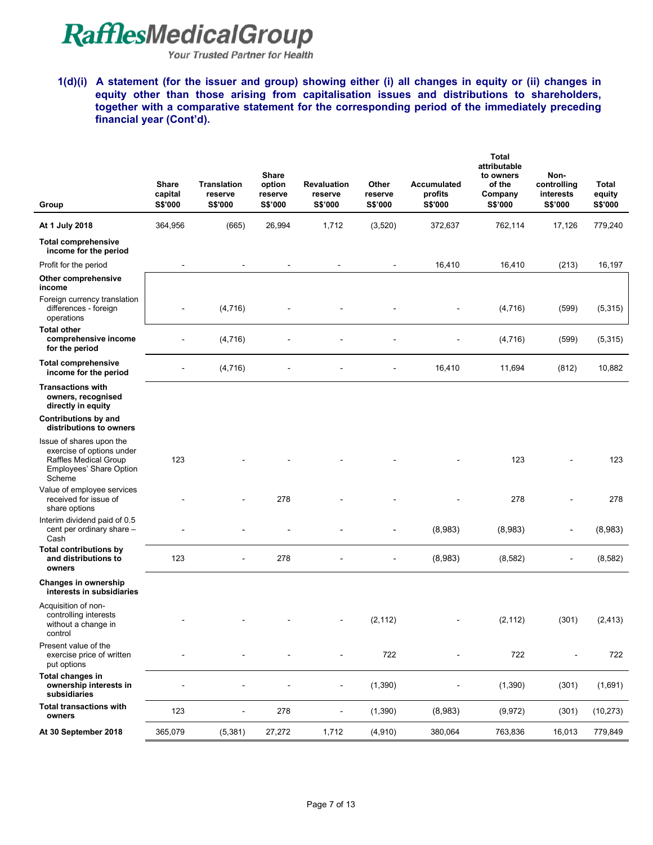Your Trusted Partner for Health

**1(d)(i) A statement (for the issuer and group) showing either (i) all changes in equity or (ii) changes in equity other than those arising from capitalisation issues and distributions to shareholders, together with a comparative statement for the corresponding period of the immediately preceding financial year (Cont'd).** 

| Group                                                                                                               | Share<br>capital<br>S\$'000 | <b>Translation</b><br>reserve<br>S\$'000 | <b>Share</b><br>option<br>reserve<br>S\$'000 | <b>Revaluation</b><br>reserve<br>S\$'000 | Other<br>reserve<br>S\$'000 | Accumulated<br>profits<br>S\$'000 | Total<br>attributable<br>to owners<br>of the<br>Company<br>S\$'000 | Non-<br>controlling<br>interests<br>S\$'000 | Total<br>equity<br>S\$'000 |
|---------------------------------------------------------------------------------------------------------------------|-----------------------------|------------------------------------------|----------------------------------------------|------------------------------------------|-----------------------------|-----------------------------------|--------------------------------------------------------------------|---------------------------------------------|----------------------------|
| At 1 July 2018                                                                                                      | 364,956                     | (665)                                    | 26,994                                       | 1,712                                    | (3,520)                     | 372,637                           | 762,114                                                            | 17,126                                      | 779,240                    |
| <b>Total comprehensive</b><br>income for the period                                                                 |                             |                                          |                                              |                                          |                             |                                   |                                                                    |                                             |                            |
| Profit for the period                                                                                               | $\overline{\phantom{a}}$    | $\qquad \qquad \blacksquare$             | $\overline{a}$                               | $\blacksquare$                           | $\blacksquare$              | 16,410                            | 16,410                                                             | (213)                                       | 16,197                     |
| Other comprehensive<br>income                                                                                       |                             |                                          |                                              |                                          |                             |                                   |                                                                    |                                             |                            |
| Foreign currency translation<br>differences - foreign<br>operations                                                 |                             | (4, 716)                                 |                                              |                                          |                             |                                   | (4,716)                                                            | (599)                                       | (5,315)                    |
| <b>Total other</b><br>comprehensive income<br>for the period                                                        |                             | (4, 716)                                 |                                              |                                          |                             |                                   | (4,716)                                                            | (599)                                       | (5,315)                    |
| <b>Total comprehensive</b><br>income for the period                                                                 | $\overline{a}$              | (4, 716)                                 |                                              |                                          |                             | 16,410                            | 11,694                                                             | (812)                                       | 10,882                     |
| <b>Transactions with</b><br>owners, recognised<br>directly in equity                                                |                             |                                          |                                              |                                          |                             |                                   |                                                                    |                                             |                            |
| <b>Contributions by and</b><br>distributions to owners                                                              |                             |                                          |                                              |                                          |                             |                                   |                                                                    |                                             |                            |
| Issue of shares upon the<br>exercise of options under<br>Raffles Medical Group<br>Employees' Share Option<br>Scheme | 123                         |                                          |                                              |                                          |                             |                                   | 123                                                                |                                             | 123                        |
| Value of employee services<br>received for issue of<br>share options                                                |                             |                                          | 278                                          |                                          |                             |                                   | 278                                                                |                                             | 278                        |
| Interim dividend paid of 0.5<br>cent per ordinary share -<br>Cash                                                   |                             |                                          |                                              |                                          |                             | (8,983)                           | (8,983)                                                            |                                             | (8,983)                    |
| <b>Total contributions by</b><br>and distributions to<br>owners                                                     | 123                         |                                          | 278                                          |                                          |                             | (8,983)                           | (8, 582)                                                           |                                             | (8, 582)                   |
| Changes in ownership<br>interests in subsidiaries                                                                   |                             |                                          |                                              |                                          |                             |                                   |                                                                    |                                             |                            |
| Acquisition of non-<br>controlling interests<br>without a change in<br>control                                      |                             |                                          |                                              |                                          | (2, 112)                    |                                   | (2, 112)                                                           | (301)                                       | (2, 413)                   |
| Present value of the<br>exercise price of written<br>put options                                                    |                             |                                          |                                              |                                          | 722                         |                                   | 722                                                                |                                             | 722                        |
| Total changes in<br>ownership interests in<br>subsidiaries                                                          |                             |                                          |                                              |                                          | (1, 390)                    |                                   | (1, 390)                                                           | (301)                                       | (1,691)                    |
| <b>Total transactions with</b><br>owners                                                                            | 123                         | $\blacksquare$                           | 278                                          | ÷                                        | (1,390)                     | (8,983)                           | (9,972)                                                            | (301)                                       | (10, 273)                  |
| At 30 September 2018                                                                                                | 365,079                     | (5, 381)                                 | 27,272                                       | 1,712                                    | (4, 910)                    | 380,064                           | 763,836                                                            | 16,013                                      | 779,849                    |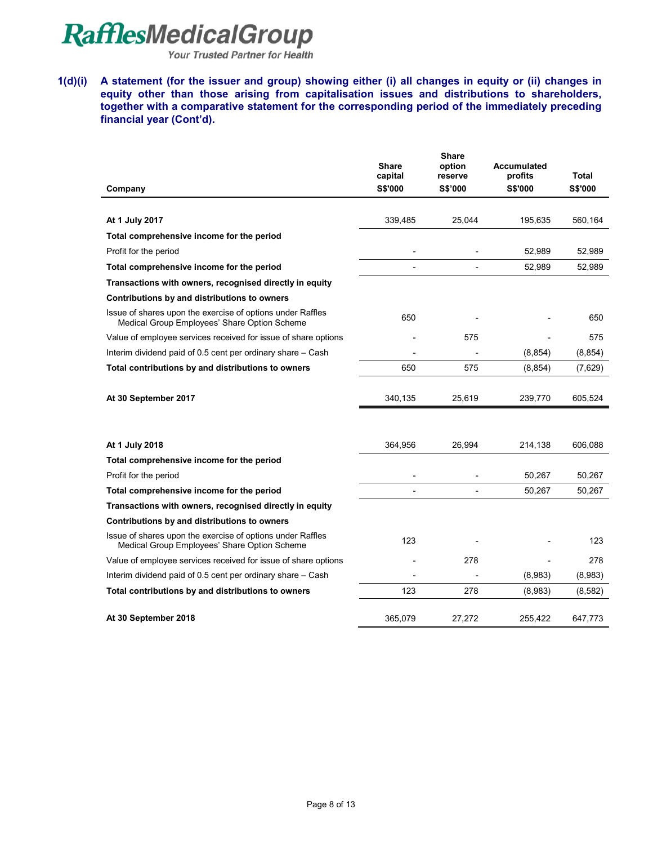Your Trusted Partner for Health

**1(d)(i) A statement (for the issuer and group) showing either (i) all changes in equity or (ii) changes in equity other than those arising from capitalisation issues and distributions to shareholders, together with a comparative statement for the corresponding period of the immediately preceding financial year (Cont'd).** 

|                                                                                                            | <b>Share</b><br>capital | <b>Share</b><br>option<br>reserve | Accumulated<br>profits | Total          |
|------------------------------------------------------------------------------------------------------------|-------------------------|-----------------------------------|------------------------|----------------|
| Company                                                                                                    | S\$'000                 | <b>S\$'000</b>                    | S\$'000                | <b>S\$'000</b> |
|                                                                                                            |                         |                                   |                        |                |
| At 1 July 2017                                                                                             | 339,485                 | 25,044                            | 195,635                | 560,164        |
| Total comprehensive income for the period                                                                  |                         |                                   |                        |                |
| Profit for the period                                                                                      |                         |                                   | 52,989                 | 52,989         |
| Total comprehensive income for the period                                                                  |                         |                                   | 52,989                 | 52,989         |
| Transactions with owners, recognised directly in equity                                                    |                         |                                   |                        |                |
| Contributions by and distributions to owners                                                               |                         |                                   |                        |                |
| Issue of shares upon the exercise of options under Raffles<br>Medical Group Employees' Share Option Scheme | 650                     |                                   |                        | 650            |
| Value of employee services received for issue of share options                                             |                         | 575                               |                        | 575            |
| Interim dividend paid of 0.5 cent per ordinary share - Cash                                                |                         |                                   | (8, 854)               | (8, 854)       |
| Total contributions by and distributions to owners                                                         | 650                     | 575                               | (8, 854)               | (7,629)        |
|                                                                                                            |                         |                                   |                        |                |
| At 30 September 2017                                                                                       | 340,135                 | 25,619                            | 239,770                | 605,524        |
|                                                                                                            |                         |                                   |                        |                |
| At 1 July 2018                                                                                             | 364,956                 | 26,994                            | 214,138                | 606,088        |
| Total comprehensive income for the period                                                                  |                         |                                   |                        |                |
| Profit for the period                                                                                      |                         |                                   | 50,267                 | 50,267         |
| Total comprehensive income for the period                                                                  |                         | $\overline{\phantom{a}}$          | 50,267                 | 50,267         |
| Transactions with owners, recognised directly in equity                                                    |                         |                                   |                        |                |
| Contributions by and distributions to owners                                                               |                         |                                   |                        |                |
| Issue of shares upon the exercise of options under Raffles<br>Medical Group Employees' Share Option Scheme | 123                     |                                   |                        | 123            |
| Value of employee services received for issue of share options                                             |                         | 278                               |                        | 278            |
| Interim dividend paid of 0.5 cent per ordinary share - Cash                                                |                         |                                   | (8,983)                | (8,983)        |
| Total contributions by and distributions to owners                                                         | 123                     | 278                               | (8,983)                | (8,582)        |
| At 30 September 2018                                                                                       | 365,079                 | 27,272                            | 255,422                | 647,773        |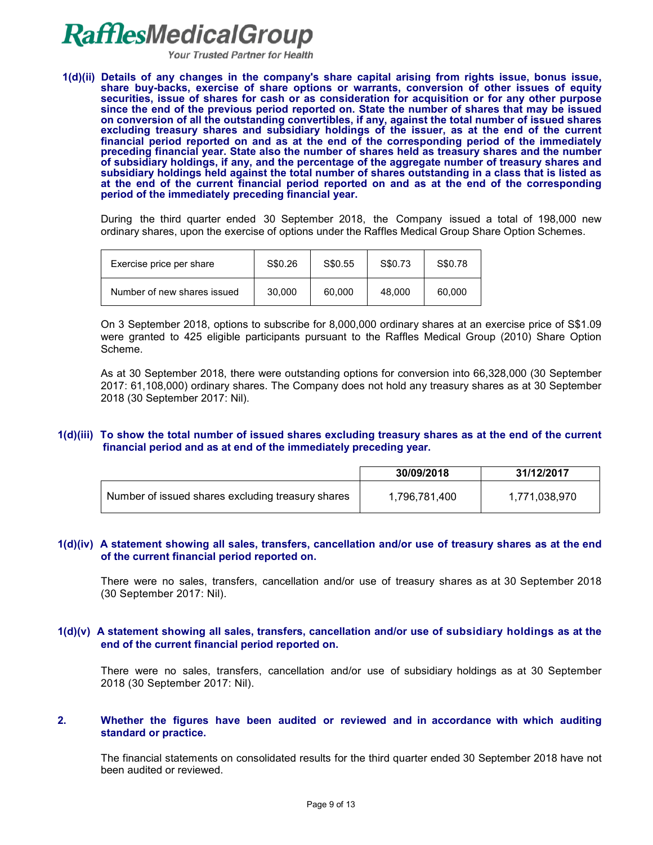**Your Trusted Partner for Health** 

**1(d)(ii) Details of any changes in the company's share capital arising from rights issue, bonus issue, share buy-backs, exercise of share options or warrants, conversion of other issues of equity securities, issue of shares for cash or as consideration for acquisition or for any other purpose since the end of the previous period reported on. State the number of shares that may be issued on conversion of all the outstanding convertibles, if any, against the total number of issued shares excluding treasury shares and subsidiary holdings of the issuer, as at the end of the current financial period reported on and as at the end of the corresponding period of the immediately preceding financial year. State also the number of shares held as treasury shares and the number of subsidiary holdings, if any, and the percentage of the aggregate number of treasury shares and subsidiary holdings held against the total number of shares outstanding in a class that is listed as at the end of the current financial period reported on and as at the end of the corresponding period of the immediately preceding financial year.**

During the third quarter ended 30 September 2018, the Company issued a total of 198,000 new ordinary shares, upon the exercise of options under the Raffles Medical Group Share Option Schemes.

| Exercise price per share    | S\$0.26 | S\$0.55 | S\$0.73 | S\$0.78 |
|-----------------------------|---------|---------|---------|---------|
| Number of new shares issued | 30.000  | 60.000  | 48.000  | 60.000  |

On 3 September 2018, options to subscribe for 8,000,000 ordinary shares at an exercise price of S\$1.09 were granted to 425 eligible participants pursuant to the Raffles Medical Group (2010) Share Option Scheme.

As at 30 September 2018, there were outstanding options for conversion into 66,328,000 (30 September 2017: 61,108,000) ordinary shares. The Company does not hold any treasury shares as at 30 September 2018 (30 September 2017: Nil).

#### **1(d)(iii) To show the total number of issued shares excluding treasury shares as at the end of the current financial period and as at end of the immediately preceding year.**

|                                                   | 30/09/2018    | 31/12/2017    |
|---------------------------------------------------|---------------|---------------|
| Number of issued shares excluding treasury shares | 1.796.781.400 | 1.771.038.970 |

#### **1(d)(iv) A statement showing all sales, transfers, cancellation and/or use of treasury shares as at the end of the current financial period reported on.**

There were no sales, transfers, cancellation and/or use of treasury shares as at 30 September 2018 (30 September 2017: Nil).

#### **1(d)(v) A statement showing all sales, transfers, cancellation and/or use of subsidiary holdings as at the end of the current financial period reported on.**

There were no sales, transfers, cancellation and/or use of subsidiary holdings as at 30 September 2018 (30 September 2017: Nil).

#### **2. Whether the figures have been audited or reviewed and in accordance with which auditing standard or practice.**

The financial statements on consolidated results for the third quarter ended 30 September 2018 have not been audited or reviewed.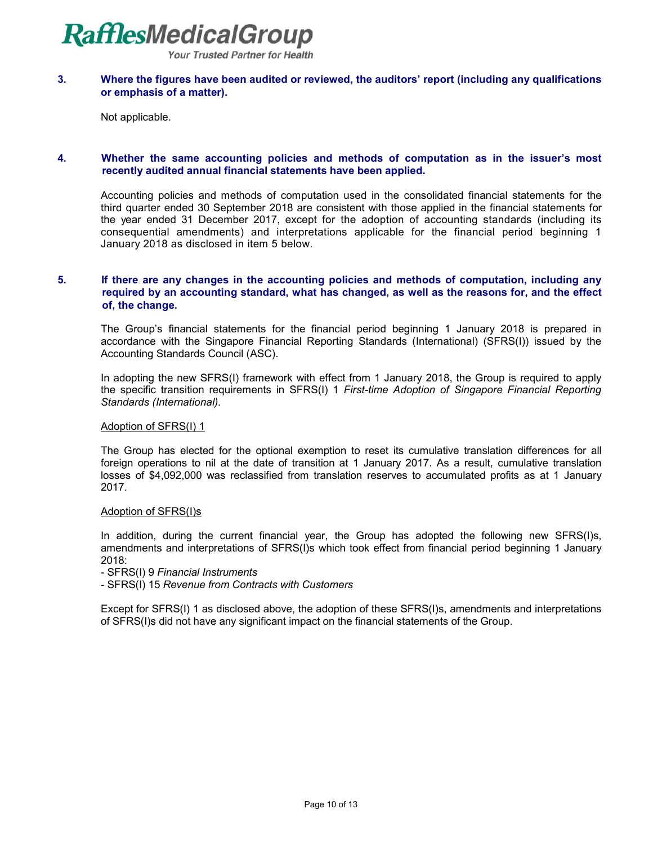**Your Trusted Partner for Health** 

#### **3. Where the figures have been audited or reviewed, the auditors' report (including any qualifications or emphasis of a matter).**

Not applicable.

#### **4. Whether the same accounting policies and methods of computation as in the issuer's most recently audited annual financial statements have been applied.**

Accounting policies and methods of computation used in the consolidated financial statements for the third quarter ended 30 September 2018 are consistent with those applied in the financial statements for the year ended 31 December 2017, except for the adoption of accounting standards (including its consequential amendments) and interpretations applicable for the financial period beginning 1 January 2018 as disclosed in item 5 below.

#### **5. If there are any changes in the accounting policies and methods of computation, including any required by an accounting standard, what has changed, as well as the reasons for, and the effect of, the change.**

The Group's financial statements for the financial period beginning 1 January 2018 is prepared in accordance with the Singapore Financial Reporting Standards (International) (SFRS(I)) issued by the Accounting Standards Council (ASC).

In adopting the new SFRS(I) framework with effect from 1 January 2018, the Group is required to apply the specific transition requirements in SFRS(I) 1 *First-time Adoption of Singapore Financial Reporting Standards (International).* 

#### Adoption of SFRS(I) 1

The Group has elected for the optional exemption to reset its cumulative translation differences for all foreign operations to nil at the date of transition at 1 January 2017. As a result, cumulative translation losses of \$4,092,000 was reclassified from translation reserves to accumulated profits as at 1 January 2017.

#### Adoption of SFRS(I)s

In addition, during the current financial year, the Group has adopted the following new SFRS(I)s, amendments and interpretations of SFRS(I)s which took effect from financial period beginning 1 January 2018:

- SFRS(I) 9 *Financial Instruments* 

- SFRS(I) 15 *Revenue from Contracts with Customers* 

Except for SFRS(I) 1 as disclosed above, the adoption of these SFRS(I)s, amendments and interpretations of SFRS(I)s did not have any significant impact on the financial statements of the Group.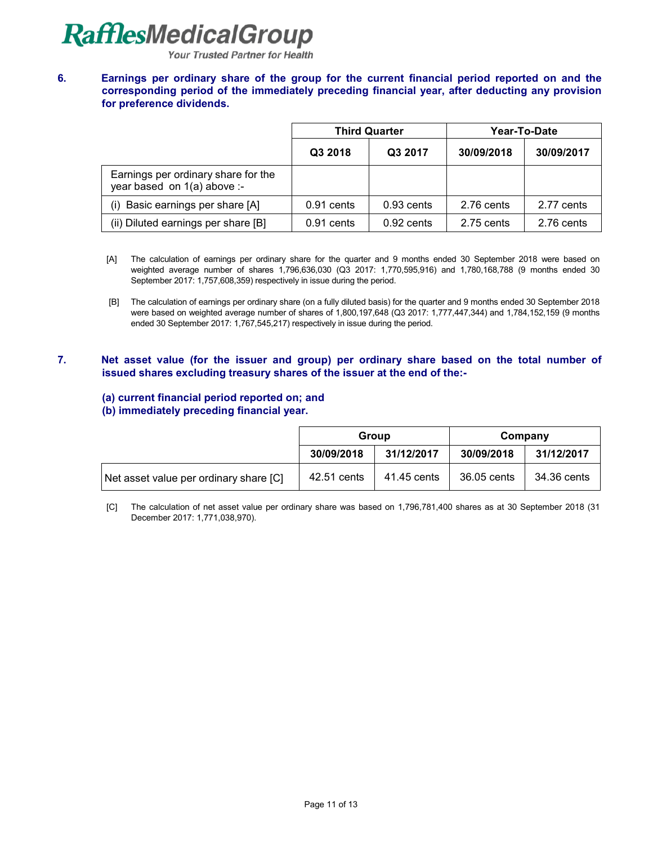**Your Trusted Partner for Health** 

**6. Earnings per ordinary share of the group for the current financial period reported on and the corresponding period of the immediately preceding financial year, after deducting any provision for preference dividends.**

|                                                                    | <b>Third Quarter</b> |              | Year-To-Date |            |
|--------------------------------------------------------------------|----------------------|--------------|--------------|------------|
|                                                                    | Q3 2018              | Q3 2017      | 30/09/2018   | 30/09/2017 |
| Earnings per ordinary share for the<br>year based on 1(a) above :- |                      |              |              |            |
| Basic earnings per share [A]<br>(i)                                | 0.91 cents           | 0.93 cents   | 2.76 cents   | 2.77 cents |
| (ii) Diluted earnings per share [B]                                | $0.91$ cents         | $0.92$ cents | 2.75 cents   | 2.76 cents |

- [A] The calculation of earnings per ordinary share for the quarter and 9 months ended 30 September 2018 were based on weighted average number of shares 1,796,636,030 (Q3 2017: 1,770,595,916) and 1,780,168,788 (9 months ended 30 September 2017: 1,757,608,359) respectively in issue during the period.
- [B] The calculation of earnings per ordinary share (on a fully diluted basis) for the quarter and 9 months ended 30 September 2018 were based on weighted average number of shares of 1,800,197,648 (Q3 2017: 1,777,447,344) and 1,784,152,159 (9 months ended 30 September 2017: 1,767,545,217) respectively in issue during the period.
- **7. Net asset value (for the issuer and group) per ordinary share based on the total number of issued shares excluding treasury shares of the issuer at the end of the:-**

### **(a) current financial period reported on; and**

#### **(b) immediately preceding financial year.**

|                                        | Group       |             | Company     |             |
|----------------------------------------|-------------|-------------|-------------|-------------|
|                                        | 30/09/2018  | 31/12/2017  | 30/09/2018  | 31/12/2017  |
| Net asset value per ordinary share [C] | 42.51 cents | 41.45 cents | 36.05 cents | 34.36 cents |

[C] The calculation of net asset value per ordinary share was based on 1,796,781,400 shares as at 30 September 2018 (31 December 2017: 1,771,038,970).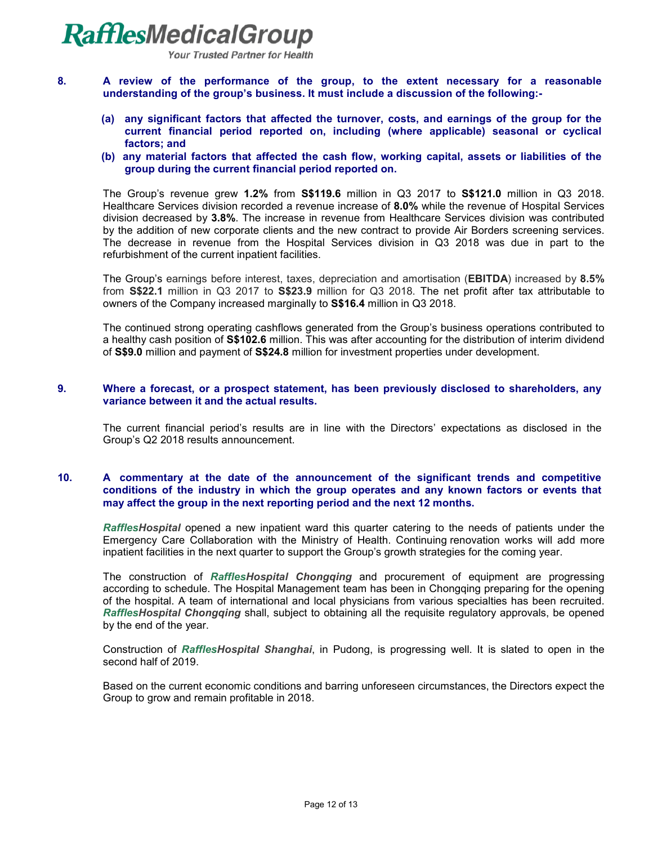

**Your Trusted Partner for Health** 

- **8. A review of the performance of the group, to the extent necessary for a reasonable understanding of the group's business. It must include a discussion of the following:-**
	- **(a) any significant factors that affected the turnover, costs, and earnings of the group for the current financial period reported on, including (where applicable) seasonal or cyclical factors; and**
	- **(b) any material factors that affected the cash flow, working capital, assets or liabilities of the group during the current financial period reported on.**

The Group's revenue grew **1.2%** from **S\$119.6** million in Q3 2017 to **S\$121.0** million in Q3 2018. Healthcare Services division recorded a revenue increase of **8.0%** while the revenue of Hospital Services division decreased by **3.8%**. The increase in revenue from Healthcare Services division was contributed by the addition of new corporate clients and the new contract to provide Air Borders screening services. The decrease in revenue from the Hospital Services division in Q3 2018 was due in part to the refurbishment of the current inpatient facilities.

The Group's earnings before interest, taxes, depreciation and amortisation (**EBITDA**) increased by **8.5%**  from **S\$22.1** million in Q3 2017 to **S\$23.9** million for Q3 2018. The net profit after tax attributable to owners of the Company increased marginally to **S\$16.4** million in Q3 2018.

The continued strong operating cashflows generated from the Group's business operations contributed to a healthy cash position of **S\$102.6** million. This was after accounting for the distribution of interim dividend of **S\$9.0** million and payment of **S\$24.8** million for investment properties under development.

#### **9. Where a forecast, or a prospect statement, has been previously disclosed to shareholders, any variance between it and the actual results.**

The current financial period's results are in line with the Directors' expectations as disclosed in the Group's Q2 2018 results announcement.

#### **10. A commentary at the date of the announcement of the significant trends and competitive conditions of the industry in which the group operates and any known factors or events that may affect the group in the next reporting period and the next 12 months.**

*RafflesHospital* opened a new inpatient ward this quarter catering to the needs of patients under the Emergency Care Collaboration with the Ministry of Health. Continuing renovation works will add more inpatient facilities in the next quarter to support the Group's growth strategies for the coming year.

The construction of *RafflesHospital Chongqing* and procurement of equipment are progressing according to schedule. The Hospital Management team has been in Chongqing preparing for the opening of the hospital. A team of international and local physicians from various specialties has been recruited. *RafflesHospital Chongqing* shall, subject to obtaining all the requisite regulatory approvals, be opened by the end of the year.

Construction of *RafflesHospital Shanghai*, in Pudong, is progressing well. It is slated to open in the second half of 2019.

Based on the current economic conditions and barring unforeseen circumstances, the Directors expect the Group to grow and remain profitable in 2018.